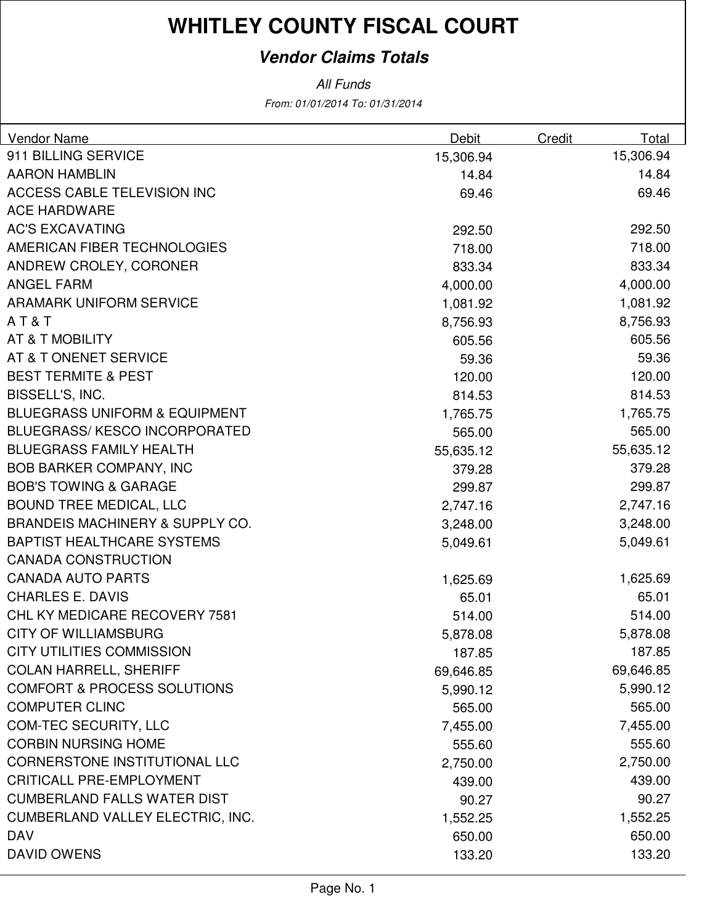### **Vendor Claims Totals**

| Vendor Name                                | Debit     | Credit | Total     |
|--------------------------------------------|-----------|--------|-----------|
| 911 BILLING SERVICE                        | 15,306.94 |        | 15,306.94 |
| <b>AARON HAMBLIN</b>                       | 14.84     |        | 14.84     |
| <b>ACCESS CABLE TELEVISION INC</b>         | 69.46     |        | 69.46     |
| <b>ACE HARDWARE</b>                        |           |        |           |
| <b>AC'S EXCAVATING</b>                     | 292.50    |        | 292.50    |
| AMERICAN FIBER TECHNOLOGIES                | 718.00    |        | 718.00    |
| ANDREW CROLEY, CORONER                     | 833.34    |        | 833.34    |
| <b>ANGEL FARM</b>                          | 4,000.00  |        | 4,000.00  |
| <b>ARAMARK UNIFORM SERVICE</b>             | 1,081.92  |        | 1,081.92  |
| AT&T                                       | 8,756.93  |        | 8,756.93  |
| AT & T MOBILITY                            | 605.56    |        | 605.56    |
| AT & T ONENET SERVICE                      | 59.36     |        | 59.36     |
| <b>BEST TERMITE &amp; PEST</b>             | 120.00    |        | 120.00    |
| BISSELL'S, INC.                            | 814.53    |        | 814.53    |
| <b>BLUEGRASS UNIFORM &amp; EQUIPMENT</b>   | 1,765.75  |        | 1,765.75  |
| <b>BLUEGRASS/KESCO INCORPORATED</b>        | 565.00    |        | 565.00    |
| <b>BLUEGRASS FAMILY HEALTH</b>             | 55,635.12 |        | 55,635.12 |
| <b>BOB BARKER COMPANY, INC</b>             | 379.28    |        | 379.28    |
| <b>BOB'S TOWING &amp; GARAGE</b>           | 299.87    |        | 299.87    |
| <b>BOUND TREE MEDICAL, LLC</b>             | 2,747.16  |        | 2,747.16  |
| <b>BRANDEIS MACHINERY &amp; SUPPLY CO.</b> | 3,248.00  |        | 3,248.00  |
| <b>BAPTIST HEALTHCARE SYSTEMS</b>          | 5,049.61  |        | 5,049.61  |
| <b>CANADA CONSTRUCTION</b>                 |           |        |           |
| <b>CANADA AUTO PARTS</b>                   | 1,625.69  |        | 1,625.69  |
| <b>CHARLES E. DAVIS</b>                    | 65.01     |        | 65.01     |
| CHL KY MEDICARE RECOVERY 7581              | 514.00    |        | 514.00    |
| <b>CITY OF WILLIAMSBURG</b>                | 5,878.08  |        | 5,878.08  |
| CITY UTILITIES COMMISSION                  | 187.85    |        | 187.85    |
| <b>COLAN HARRELL, SHERIFF</b>              | 69,646.85 |        | 69,646.85 |
| <b>COMFORT &amp; PROCESS SOLUTIONS</b>     | 5,990.12  |        | 5,990.12  |
| <b>COMPUTER CLINC</b>                      | 565.00    |        | 565.00    |
| <b>COM-TEC SECURITY, LLC</b>               | 7,455.00  |        | 7,455.00  |
| <b>CORBIN NURSING HOME</b>                 | 555.60    |        | 555.60    |
| <b>CORNERSTONE INSTITUTIONAL LLC</b>       | 2,750.00  |        | 2,750.00  |
| <b>CRITICALL PRE-EMPLOYMENT</b>            | 439.00    |        | 439.00    |
| <b>CUMBERLAND FALLS WATER DIST</b>         | 90.27     |        | 90.27     |
| <b>CUMBERLAND VALLEY ELECTRIC, INC.</b>    | 1,552.25  |        | 1,552.25  |
| <b>DAV</b>                                 | 650.00    |        | 650.00    |
| <b>DAVID OWENS</b>                         | 133.20    |        | 133.20    |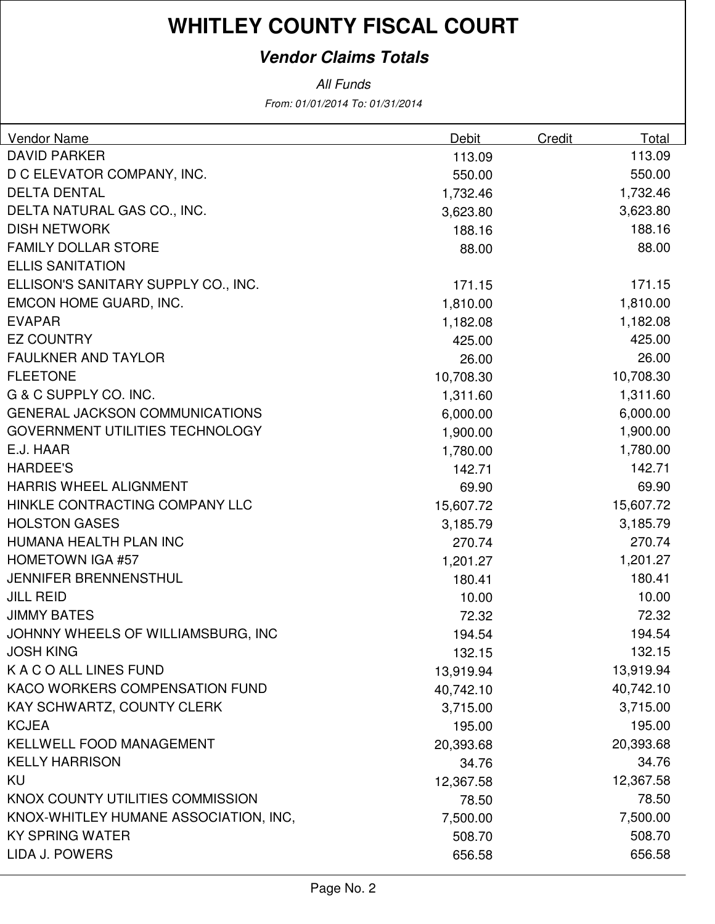### **Vendor Claims Totals**

| <b>Vendor Name</b>                     | Debit     | Credit | Total     |
|----------------------------------------|-----------|--------|-----------|
| <b>DAVID PARKER</b>                    | 113.09    |        | 113.09    |
| D C ELEVATOR COMPANY, INC.             | 550.00    |        | 550.00    |
| <b>DELTA DENTAL</b>                    | 1,732.46  |        | 1,732.46  |
| DELTA NATURAL GAS CO., INC.            | 3,623.80  |        | 3,623.80  |
| <b>DISH NETWORK</b>                    | 188.16    |        | 188.16    |
| <b>FAMILY DOLLAR STORE</b>             | 88.00     |        | 88.00     |
| <b>ELLIS SANITATION</b>                |           |        |           |
| ELLISON'S SANITARY SUPPLY CO., INC.    | 171.15    |        | 171.15    |
| EMCON HOME GUARD, INC.                 | 1,810.00  |        | 1,810.00  |
| <b>EVAPAR</b>                          | 1,182.08  |        | 1,182.08  |
| <b>EZ COUNTRY</b>                      | 425.00    |        | 425.00    |
| <b>FAULKNER AND TAYLOR</b>             | 26.00     |        | 26.00     |
| <b>FLEETONE</b>                        | 10,708.30 |        | 10,708.30 |
| G & C SUPPLY CO. INC.                  | 1,311.60  |        | 1,311.60  |
| <b>GENERAL JACKSON COMMUNICATIONS</b>  | 6,000.00  |        | 6,000.00  |
| <b>GOVERNMENT UTILITIES TECHNOLOGY</b> | 1,900.00  |        | 1,900.00  |
| E.J. HAAR                              | 1,780.00  |        | 1,780.00  |
| <b>HARDEE'S</b>                        | 142.71    |        | 142.71    |
| <b>HARRIS WHEEL ALIGNMENT</b>          | 69.90     |        | 69.90     |
| HINKLE CONTRACTING COMPANY LLC         | 15,607.72 |        | 15,607.72 |
| <b>HOLSTON GASES</b>                   | 3,185.79  |        | 3,185.79  |
| HUMANA HEALTH PLAN INC                 | 270.74    |        | 270.74    |
| <b>HOMETOWN IGA #57</b>                | 1,201.27  |        | 1,201.27  |
| <b>JENNIFER BRENNENSTHUL</b>           | 180.41    |        | 180.41    |
| <b>JILL REID</b>                       | 10.00     |        | 10.00     |
| <b>JIMMY BATES</b>                     | 72.32     |        | 72.32     |
| JOHNNY WHEELS OF WILLIAMSBURG, INC     | 194.54    |        | 194.54    |
| <b>JOSH KING</b>                       | 132.15    |        | 132.15    |
| K A C O ALL LINES FUND                 | 13,919.94 |        | 13,919.94 |
| KACO WORKERS COMPENSATION FUND         | 40,742.10 |        | 40,742.10 |
| KAY SCHWARTZ, COUNTY CLERK             | 3,715.00  |        | 3,715.00  |
| <b>KCJEA</b>                           | 195.00    |        | 195.00    |
| KELLWELL FOOD MANAGEMENT               | 20,393.68 |        | 20,393.68 |
| <b>KELLY HARRISON</b>                  | 34.76     |        | 34.76     |
| KU                                     | 12,367.58 |        | 12,367.58 |
| KNOX COUNTY UTILITIES COMMISSION       | 78.50     |        | 78.50     |
| KNOX-WHITLEY HUMANE ASSOCIATION, INC,  | 7,500.00  |        | 7,500.00  |
| <b>KY SPRING WATER</b>                 | 508.70    |        | 508.70    |
| LIDA J. POWERS                         | 656.58    |        | 656.58    |
|                                        |           |        |           |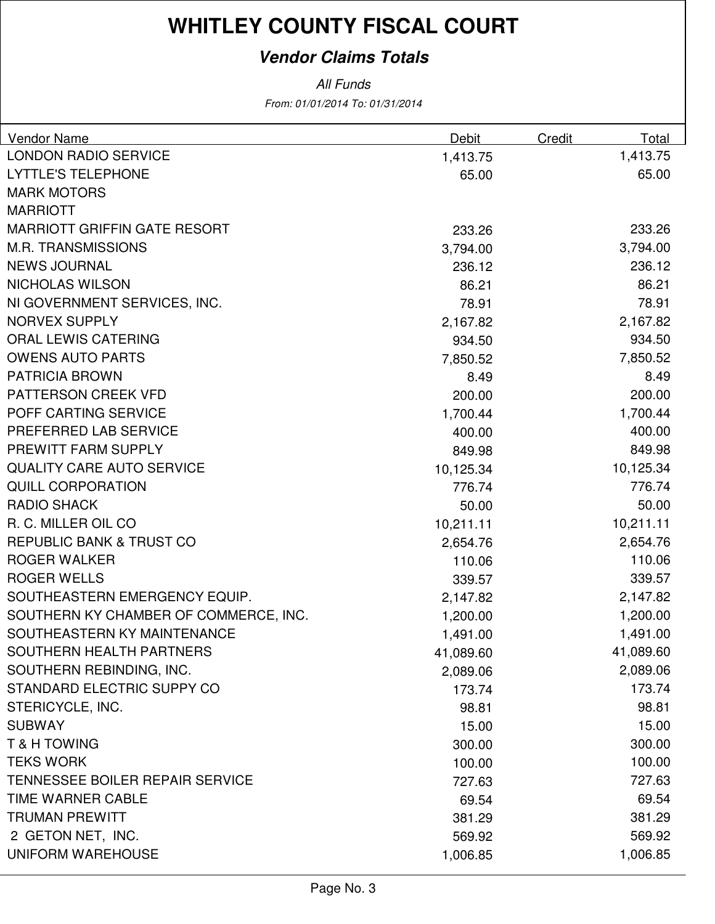### **Vendor Claims Totals**

| Vendor Name                           | Debit     | Credit | Total     |
|---------------------------------------|-----------|--------|-----------|
| <b>LONDON RADIO SERVICE</b>           | 1,413.75  |        | 1,413.75  |
| <b>LYTTLE'S TELEPHONE</b>             | 65.00     |        | 65.00     |
| <b>MARK MOTORS</b>                    |           |        |           |
| <b>MARRIOTT</b>                       |           |        |           |
| <b>MARRIOTT GRIFFIN GATE RESORT</b>   | 233.26    |        | 233.26    |
| <b>M.R. TRANSMISSIONS</b>             | 3,794.00  |        | 3,794.00  |
| <b>NEWS JOURNAL</b>                   | 236.12    |        | 236.12    |
| NICHOLAS WILSON                       | 86.21     |        | 86.21     |
| NI GOVERNMENT SERVICES, INC.          | 78.91     |        | 78.91     |
| <b>NORVEX SUPPLY</b>                  | 2,167.82  |        | 2,167.82  |
| ORAL LEWIS CATERING                   | 934.50    |        | 934.50    |
| <b>OWENS AUTO PARTS</b>               | 7,850.52  |        | 7,850.52  |
| <b>PATRICIA BROWN</b>                 | 8.49      |        | 8.49      |
| PATTERSON CREEK VFD                   | 200.00    |        | 200.00    |
| POFF CARTING SERVICE                  | 1,700.44  |        | 1,700.44  |
| PREFERRED LAB SERVICE                 | 400.00    |        | 400.00    |
| PREWITT FARM SUPPLY                   | 849.98    |        | 849.98    |
| <b>QUALITY CARE AUTO SERVICE</b>      | 10,125.34 |        | 10,125.34 |
| <b>QUILL CORPORATION</b>              | 776.74    |        | 776.74    |
| <b>RADIO SHACK</b>                    | 50.00     |        | 50.00     |
| R. C. MILLER OIL CO                   | 10,211.11 |        | 10,211.11 |
| <b>REPUBLIC BANK &amp; TRUST CO</b>   | 2,654.76  |        | 2,654.76  |
| <b>ROGER WALKER</b>                   | 110.06    |        | 110.06    |
| <b>ROGER WELLS</b>                    | 339.57    |        | 339.57    |
| SOUTHEASTERN EMERGENCY EQUIP.         | 2,147.82  |        | 2,147.82  |
| SOUTHERN KY CHAMBER OF COMMERCE, INC. | 1,200.00  |        | 1,200.00  |
| SOUTHEASTERN KY MAINTENANCE           | 1,491.00  |        | 1,491.00  |
| SOUTHERN HEALTH PARTNERS              | 41,089.60 |        | 41,089.60 |
| SOUTHERN REBINDING, INC.              | 2,089.06  |        | 2,089.06  |
| STANDARD ELECTRIC SUPPY CO            | 173.74    |        | 173.74    |
| STERICYCLE, INC.                      | 98.81     |        | 98.81     |
| <b>SUBWAY</b>                         | 15.00     |        | 15.00     |
| <b>T&amp;HTOWING</b>                  | 300.00    |        | 300.00    |
| <b>TEKS WORK</b>                      | 100.00    |        | 100.00    |
| TENNESSEE BOILER REPAIR SERVICE       | 727.63    |        | 727.63    |
| TIME WARNER CABLE                     | 69.54     |        | 69.54     |
| <b>TRUMAN PREWITT</b>                 | 381.29    |        | 381.29    |
| 2 GETON NET, INC.                     | 569.92    |        | 569.92    |
| <b>UNIFORM WAREHOUSE</b>              | 1,006.85  |        | 1,006.85  |